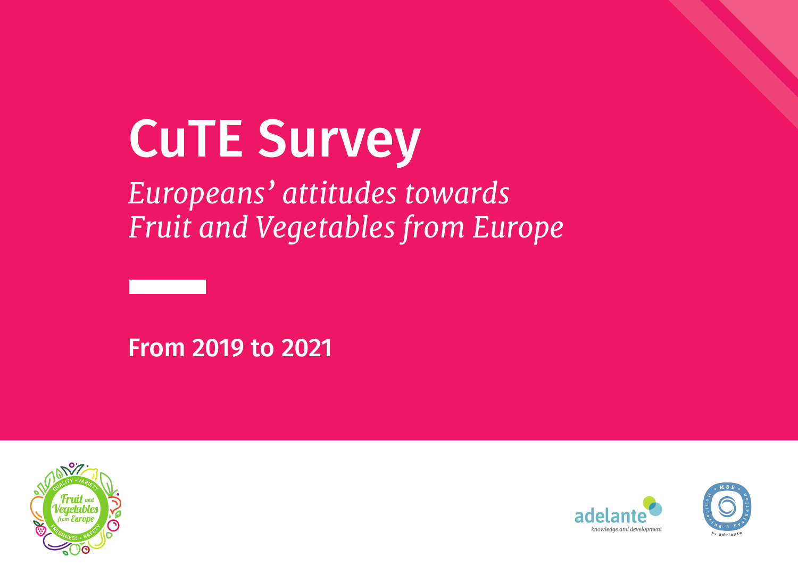# CuTE Survey

*Europeans' attitudes towards Fruit and Vegetables from Europe*

From 2019 to 2021





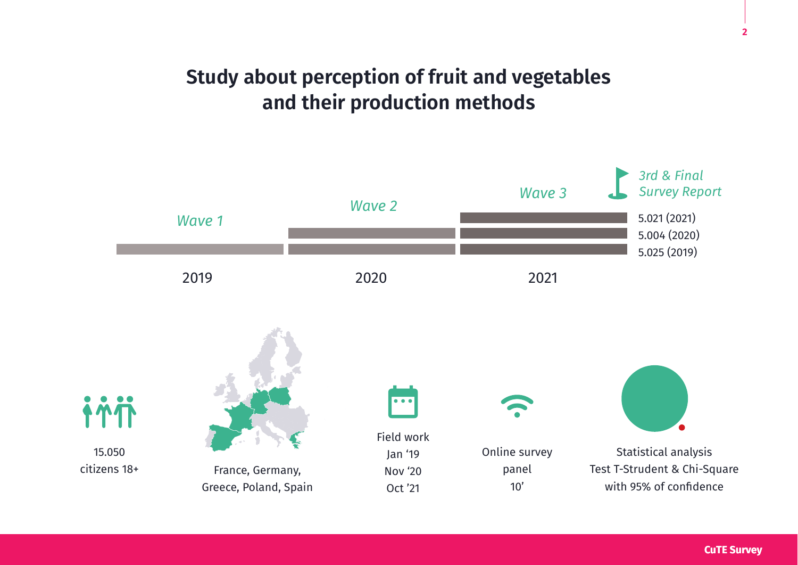## **Study about perception of fruit and vegetables and their production methods**

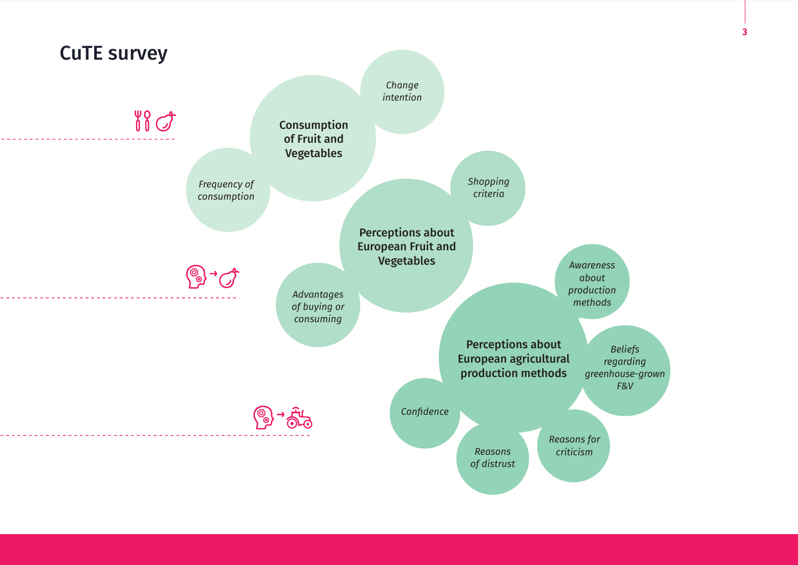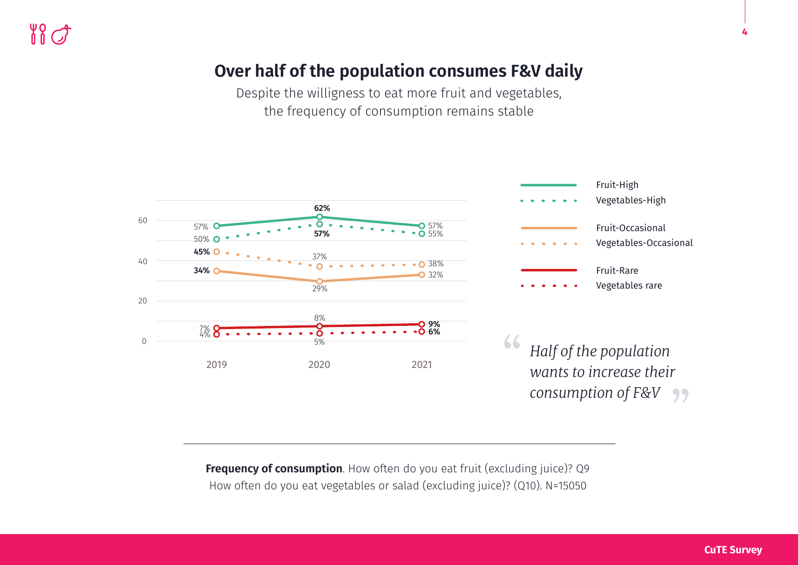#### **Over half of the population consumes F&V daily**

Despite the willigness to eat more fruit and vegetables, the frequency of consumption remains stable



**Frequency of consumption**. How often do you eat fruit (excluding juice)? Q9 How often do you eat vegetables or salad (excluding juice)? (Q10). N=15050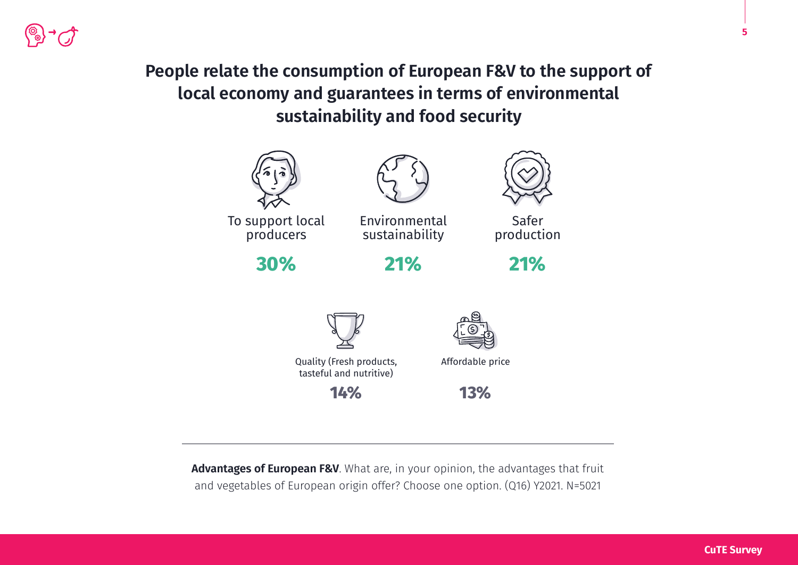**People relate the consumption of European F&V to the support of local economy and guarantees in terms of environmental sustainability and food security** 



**Advantages of European F&V**. What are, in your opinion, the advantages that fruit and vegetables of European origin offer? Choose one option. (Q16) Y2021. N=5021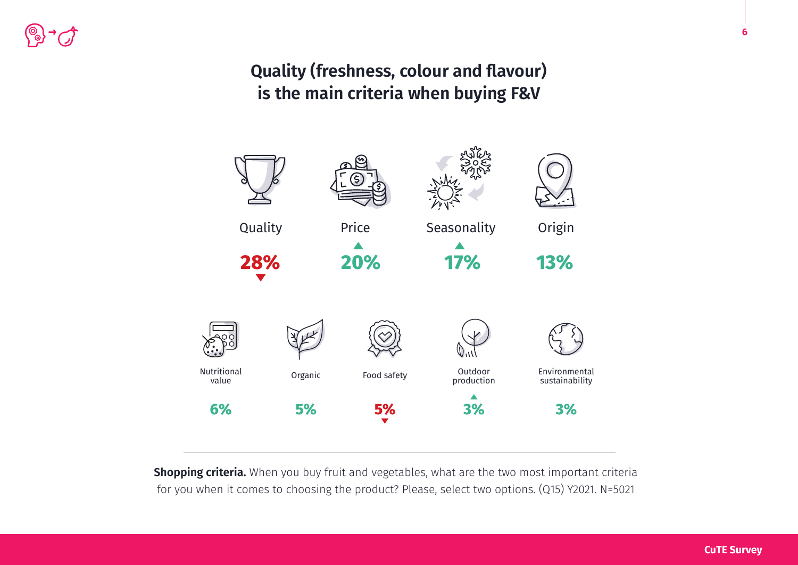#### **Quality (freshness, colour and flavour) is the main criteria when buying F&V**



**Shopping criteria.** When you buy fruit and vegetables, what are the two most important criteria for you when it comes to choosing the product? Please, select two options. (Q15) Y2021. N=5021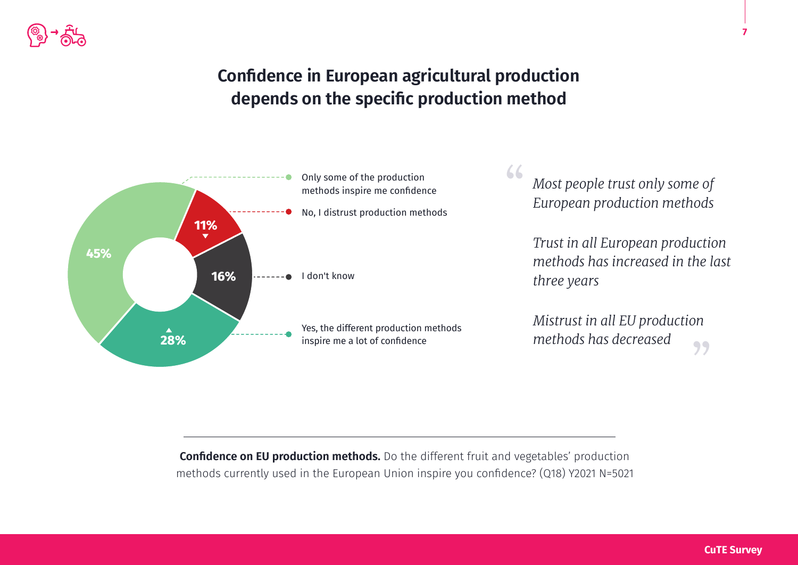#### **Confidence in European agricultural production depends on the specific production method**



**Confidence on EU production methods.** Do the different fruit and vegetables' production methods currently used in the European Union inspire you confidence? (Q18) Y2021 N=5021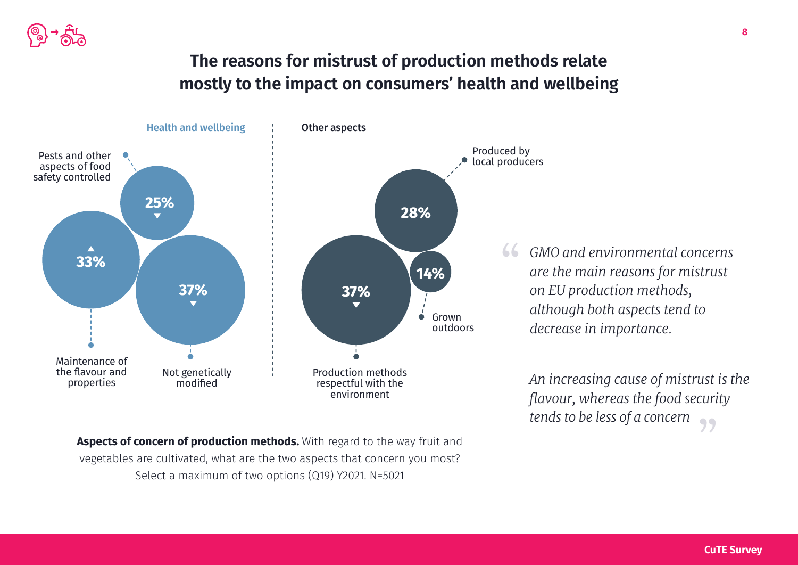

#### **The reasons for mistrust of production methods relate mostly to the impact on consumers' health and wellbeing**



**Aspects of concern of production methods.** With regard to the way fruit and vegetables are cultivated, what are the two aspects that concern you most? Select a maximum of two options (Q19) Y2021. N=5021

*GMO and environmental concerns are the main reasons for mistrust on EU production methods, although both aspects tend to decrease in importance.*

*An increasing cause of mistrust is the flavour, whereas the food security tends to be less of a concern* "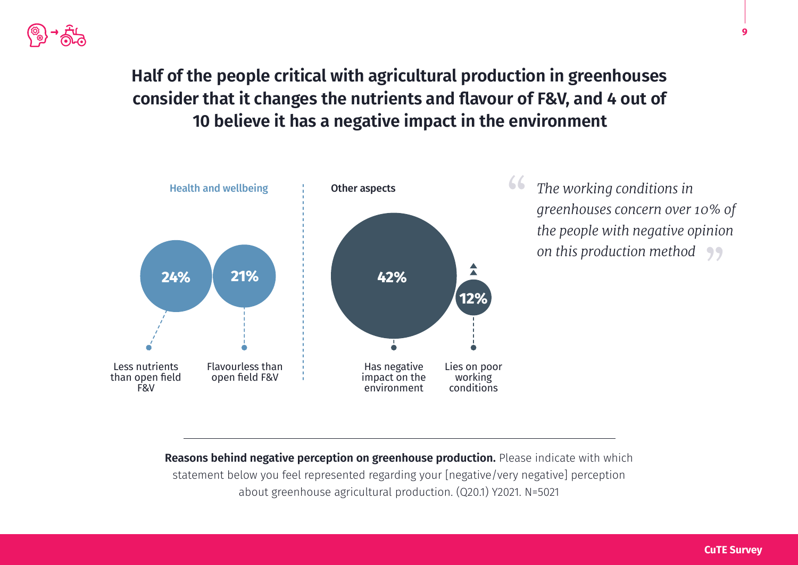

### **Half of the people critical with agricultural production in greenhouses consider that it changes the nutrients and flavour of F&V, and 4 out of 10 believe it has a negative impact in the environment**



*The working conditions in greenhouses concern over 10% of the people with negative opinion on this production method* "

**Reasons behind negative perception on greenhouse production.** Please indicate with which statement below you feel represented regarding your [negative/very negative] perception about greenhouse agricultural production. (Q20.1) Y2021. N=5021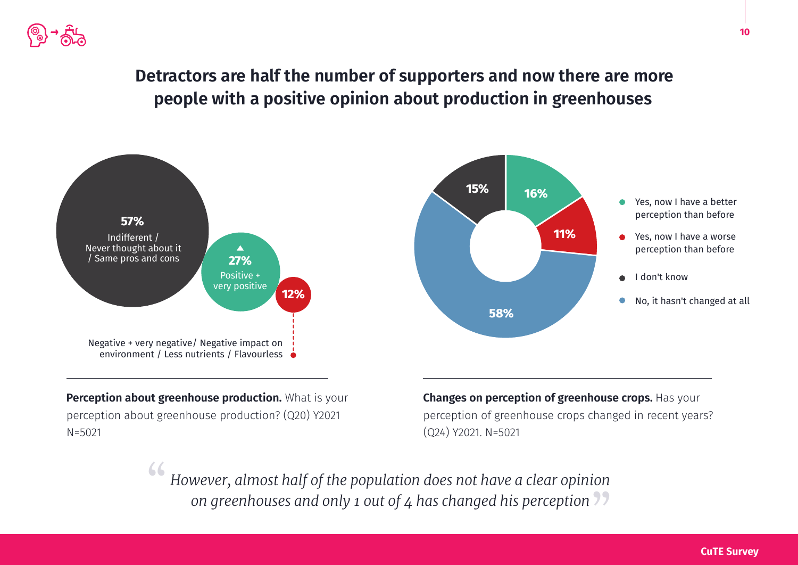![](_page_9_Picture_0.jpeg)

#### **Detractors are half the number of supporters and now there are more people with a positive opinion about production in greenhouses**

![](_page_9_Figure_2.jpeg)

**Perception about greenhouse production.** What is your perception about greenhouse production? (Q20) Y2021 N=5021

**Changes on perception of greenhouse crops.** Has your perception of greenhouse crops changed in recent years? (Q24) Y2021. N=5021

*However, almost half of the population does not have a clear opinion on greenhouses and only 1 out of 4 has changed his perception* " "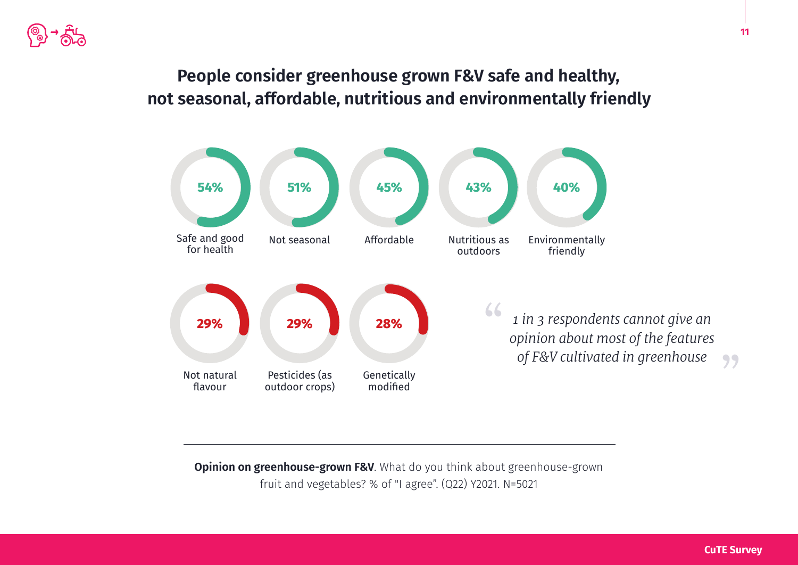#### **People consider greenhouse grown F&V safe and healthy, not seasonal, affordable, nutritious and environmentally friendly**

![](_page_10_Figure_2.jpeg)

**Opinion on greenhouse-grown F&V**. What do you think about greenhouse-grown fruit and vegetables? % of "I agree". (Q22) Y2021. N=5021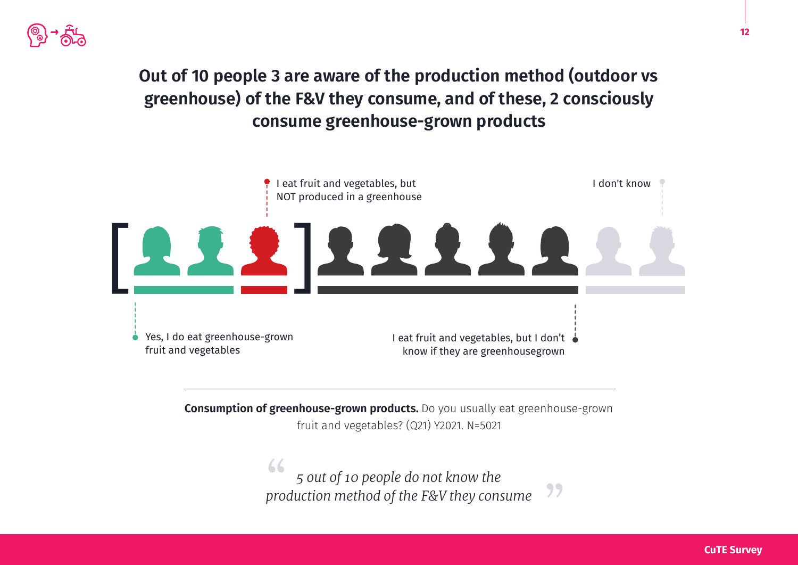![](_page_11_Picture_0.jpeg)

### **Out of 10 people 3 are aware of the production method (outdoor vs greenhouse) of the F&V they consume, and of these, 2 consciously consume greenhouse-grown products**

![](_page_11_Figure_2.jpeg)

**Consumption of greenhouse-grown products.** Do you usually eat greenhouse-grown fruit and vegetables? (Q21) Y2021. N=5021

> *5 out of 10 people do not know the production method of the F&V they consume* " "

![](_page_11_Picture_6.jpeg)